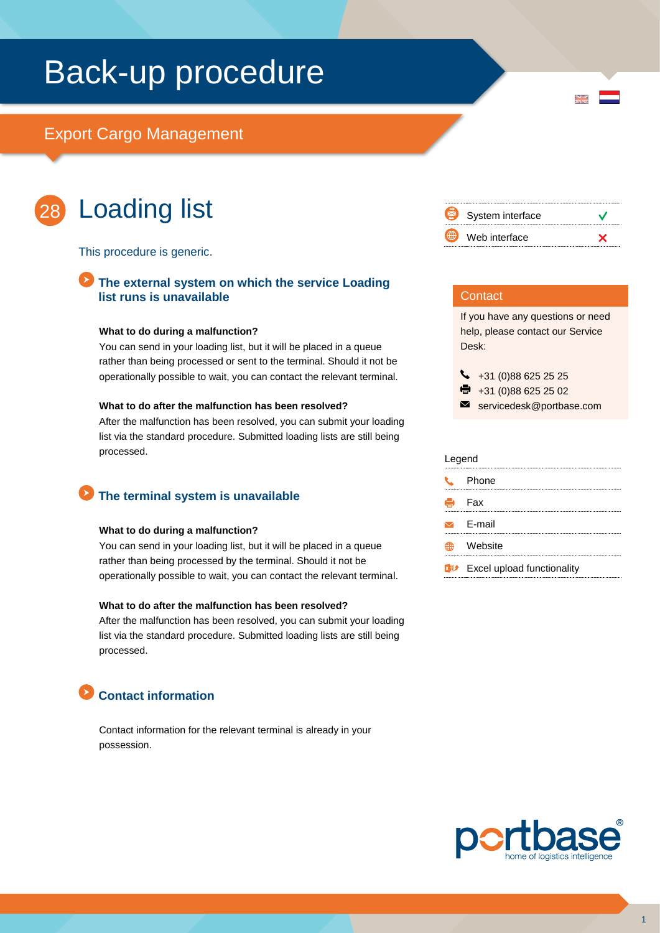# Back-up procedure

# Export Cargo Management



# Loading list

This procedure is generic.

### **The external system on which the service Loading list runs is unavailable**

#### **What to do during a malfunction?**

You can send in your loading list, but it will be placed in a queue rather than being processed or sent to the terminal. Should it not be operationally possible to wait, you can contact the relevant terminal.

#### **What to do after the malfunction has been resolved?**

After the malfunction has been resolved, you can submit your loading list via the standard procedure. Submitted loading lists are still being processed.

# **The terminal system is unavailable**

#### **What to do during a malfunction?**

You can send in your loading list, but it will be placed in a queue rather than being processed by the terminal. Should it not be operationally possible to wait, you can contact the relevant terminal.

#### **What to do after the malfunction has been resolved?**

After the malfunction has been resolved, you can submit your loading list via the standard procedure. Submitted loading lists are still being processed.

# **Contact information**

Contact information for the relevant terminal is already in your possession.



 $\overline{\mathbf{M}}$ 

### **Contact**

If you have any questions or need help, please contact our Service Desk:

 $\begin{array}{r} \big\{\end{array}$  +31 (0)88 625 25 25

- $\bullet$  +31 (0)88 625 25 02
- servicedesk@portbase.com

| Legend |                            |
|--------|----------------------------|
|        | Phone                      |
|        | - Fax                      |
|        | $\sqrt{ }$ F-mail          |
|        | Website                    |
|        | Excel upload functionality |